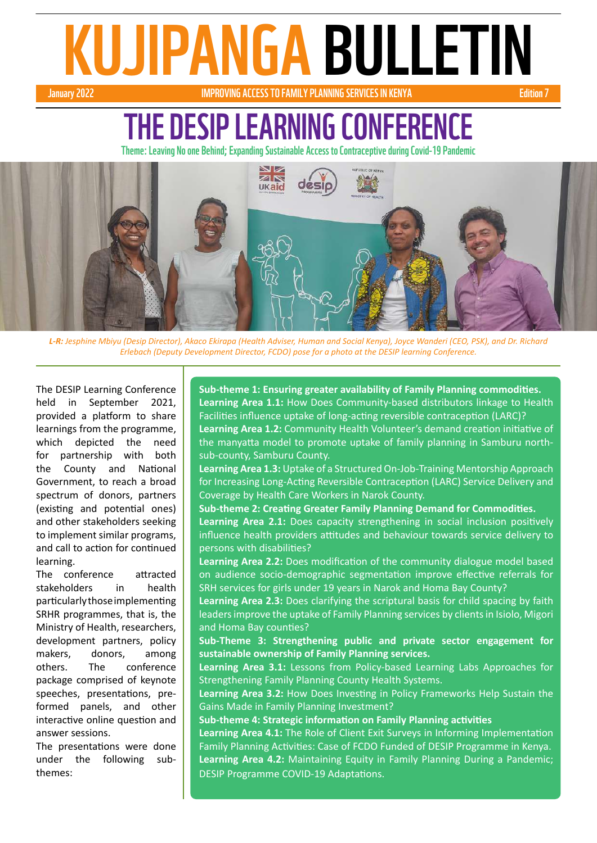# January 2022<br>January 2022 MARIA BULLETIN

#### **IMPROVING ACCESS TO FAMILY PLANNING SERVICES IN KENYA**

# THE DESIP LEARNING CONFEREI

Theme: Leaving No one Behind; Expanding Sustainable Access to Contraceptive during Covid-19 Pandemic



*L-R: Jesphine Mbiyu (Desip Director), Akaco Ekirapa (Health Adviser, Human and Social Kenya), Joyce Wanderi (CEO, PSK), and Dr. Richard Erlebach (Deputy Development Director, FCDO) pose for a photo at the DESIP learning Conference.*

The DESIP Learning Conference held in September 2021, provided a platform to share learnings from the programme, which depicted the need for partnership with both the County and National Government, to reach a broad spectrum of donors, partners (existing and potential ones) and other stakeholders seeking to implement similar programs, and call to action for continued learning.

The conference attracted stakeholders in health particularly those implementing SRHR programmes, that is, the Ministry of Health, researchers, development partners, policy makers, donors, among others. The conference package comprised of keynote speeches, presentations, preformed panels, and other interactive online question and answer sessions.

The presentations were done under the following subthemes:

**Sub-theme 1: Ensuring greater availability of Family Planning commodities. Learning Area 1.1:** How Does Community-based distributors linkage to Health Facilities influence uptake of long-acting reversible contraception (LARC)? **Learning Area 1.2:** Community Health Volunteer's demand creation initiative of the manyatta model to promote uptake of family planning in Samburu northsub-county, Samburu County.

**Learning Area 1.3:** Uptake of a Structured On-Job-Training Mentorship Approach for Increasing Long-Acting Reversible Contraception (LARC) Service Delivery and Coverage by Health Care Workers in Narok County.

**Sub-theme 2: Creating Greater Family Planning Demand for Commodities. Learning Area 2.1:** Does capacity strengthening in social inclusion positively influence health providers attitudes and behaviour towards service delivery to persons with disabilities?

**Learning Area 2.2:** Does modification of the community dialogue model based on audience socio-demographic segmentation improve effective referrals for SRH services for girls under 19 years in Narok and Homa Bay County?

**Learning Area 2.3:** Does clarifying the scriptural basis for child spacing by faith leaders improve the uptake of Family Planning services by clients in Isiolo, Migori and Homa Bay counties?

**Sub-Theme 3: Strengthening public and private sector engagement for sustainable ownership of Family Planning services.**

**Learning Area 3.1:** Lessons from Policy-based Learning Labs Approaches for Strengthening Family Planning County Health Systems.

**Learning Area 3.2:** How Does Investing in Policy Frameworks Help Sustain the Gains Made in Family Planning Investment?

**Sub-theme 4: Strategic information on Family Planning activities**

**Learning Area 4.1:** The Role of Client Exit Surveys in Informing Implementation Family Planning Activities: Case of FCDO Funded of DESIP Programme in Kenya. **Learning Area 4.2:** Maintaining Equity in Family Planning During a Pandemic; DESIP Programme COVID-19 Adaptations.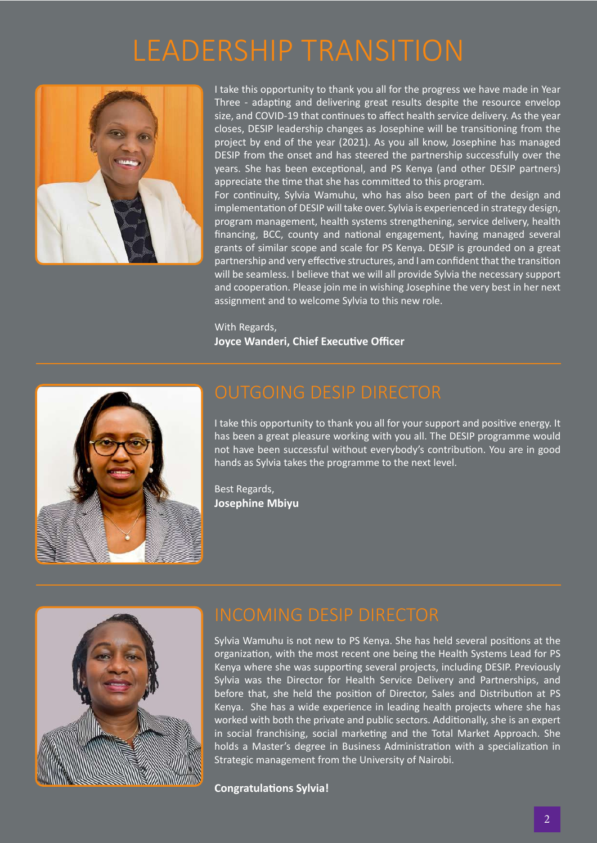# LEADERSHIP TRANSITION



I take this opportunity to thank you all for the progress we have made in Year Three - adapting and delivering great results despite the resource envelop size, and COVID-19 that continues to affect health service delivery. As the year closes, DESIP leadership changes as Josephine will be transitioning from the project by end of the year (2021). As you all know, Josephine has managed DESIP from the onset and has steered the partnership successfully over the years. She has been exceptional, and PS Kenya (and other DESIP partners) appreciate the time that she has committed to this program.

For continuity, Sylvia Wamuhu, who has also been part of the design and implementation of DESIP will take over. Sylvia is experienced in strategy design, program management, health systems strengthening, service delivery, health financing, BCC, county and national engagement, having managed several grants of similar scope and scale for PS Kenya. DESIP is grounded on a great partnership and very effective structures, and I am confident that the transition will be seamless. I believe that we will all provide Sylvia the necessary support and cooperation. Please join me in wishing Josephine the very best in her next assignment and to welcome Sylvia to this new role.

With Regards, **Joyce Wanderi, Chief Executive Officer**



I take this opportunity to thank you all for your support and positive energy. It has been a great pleasure working with you all. The DESIP programme would not have been successful without everybody's contribution. You are in good hands as Sylvia takes the programme to the next level.

Best Regards, **Josephine Mbiyu**



Sylvia Wamuhu is not new to PS Kenya. She has held several positions at the organization, with the most recent one being the Health Systems Lead for PS Kenya where she was supporting several projects, including DESIP. Previously Sylvia was the Director for Health Service Delivery and Partnerships, and before that, she held the position of Director, Sales and Distribution at PS Kenya. She has a wide experience in leading health projects where she has worked with both the private and public sectors. Additionally, she is an expert in social franchising, social marketing and the Total Market Approach. She holds a Master's degree in Business Administration with a specialization in Strategic management from the University of Nairobi.

**Congratulations Sylvia!**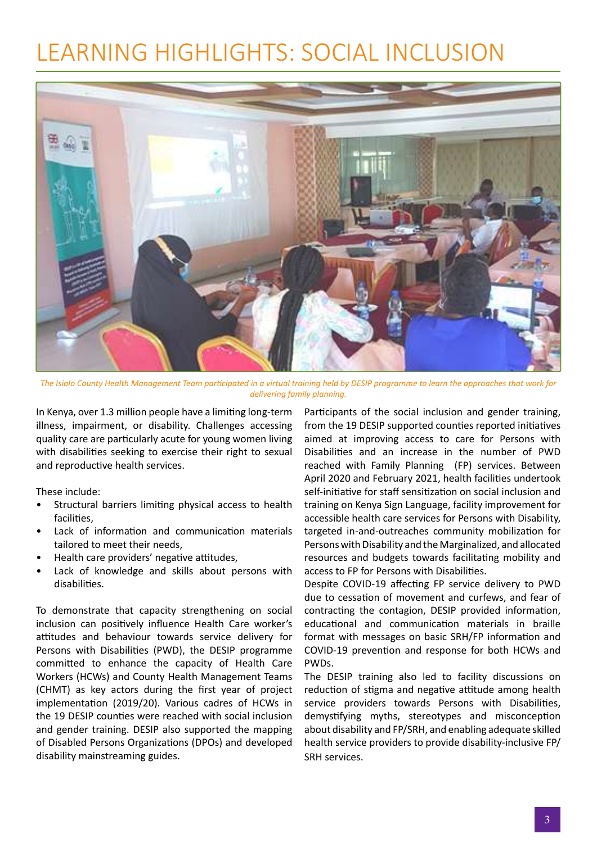# LEARNING HIGHLIGHTS: SOCIAL INCLUSION



*The Isiolo County Health Management Team participated in a virtual training held by DESIP programme to learn the approaches that work for delivering family planning.*

In Kenya, over 1.3 million people have a limiting long-term illness, impairment, or disability. Challenges accessing quality care are particularly acute for young women living with disabilities seeking to exercise their right to sexual and reproductive health services.

These include:

- Structural barriers limiting physical access to health facilities,
- Lack of information and communication materials tailored to meet their needs,
- Health care providers' negative attitudes,
- Lack of knowledge and skills about persons with disabilities.

To demonstrate that capacity strengthening on social inclusion can positively influence Health Care worker's attitudes and behaviour towards service delivery for Persons with Disabilities (PWD), the DESIP programme committed to enhance the capacity of Health Care Workers (HCWs) and County Health Management Teams (CHMT) as key actors during the first year of project implementation (2019/20). Various cadres of HCWs in the 19 DESIP counties were reached with social inclusion and gender training. DESIP also supported the mapping of Disabled Persons Organizations (DPOs) and developed disability mainstreaming guides.

Participants of the social inclusion and gender training, from the 19 DESIP supported counties reported initiatives aimed at improving access to care for Persons with Disabilities and an increase in the number of PWD reached with Family Planning (FP) services. Between April 2020 and February 2021, health facilities undertook self-initiative for staff sensitization on social inclusion and training on Kenya Sign Language, facility improvement for accessible health care services for Persons with Disability, targeted in-and-outreaches community mobilization for Persons with Disability and the Marginalized, and allocated resources and budgets towards facilitating mobility and access to FP for Persons with Disabilities.

Despite COVID-19 affecting FP service delivery to PWD due to cessation of movement and curfews, and fear of contracting the contagion, DESIP provided information, educational and communication materials in braille format with messages on basic SRH/FP information and COVID-19 prevention and response for both HCWs and PWDs.

The DESIP training also led to facility discussions on reduction of stigma and negative attitude among health service providers towards Persons with Disabilities, demystifying myths, stereotypes and misconception about disability and FP/SRH, and enabling adequate skilled health service providers to provide disability-inclusive FP/ SRH services.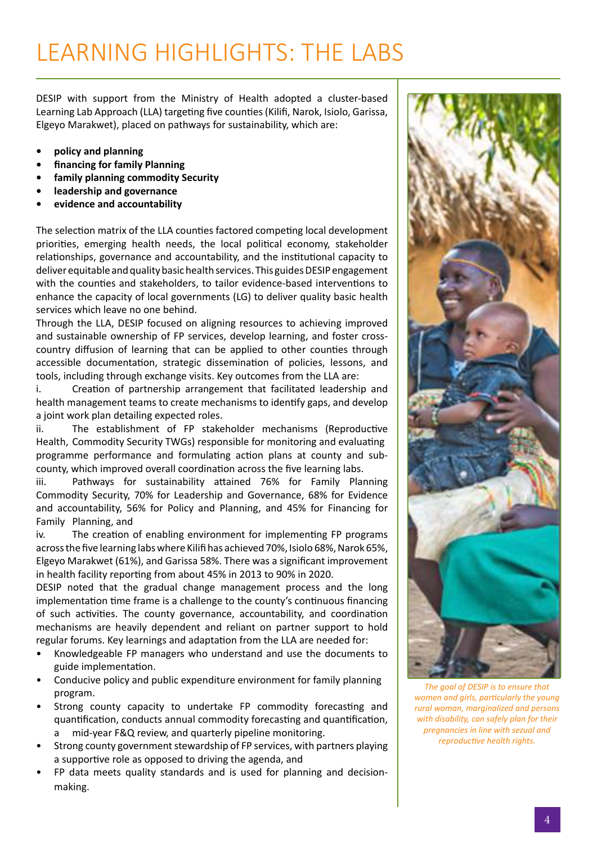# LEARNING HIGHLIGHTS: THE LABS

DESIP with support from the Ministry of Health adopted a cluster-based Learning Lab Approach (LLA) targeting five counties (Kilifi, Narok, Isiolo, Garissa, Elgeyo Marakwet), placed on pathways for sustainability, which are:

- **• policy and planning**
- **• financing for family Planning**
- **• family planning commodity Security**
- **• leadership and governance**
- **• evidence and accountability**

The selection matrix of the LLA counties factored competing local development priorities, emerging health needs, the local political economy, stakeholder relationships, governance and accountability, and the institutional capacity to deliver equitable and quality basic health services. This guides DESIP engagement with the counties and stakeholders, to tailor evidence-based interventions to enhance the capacity of local governments (LG) to deliver quality basic health services which leave no one behind.

Through the LLA, DESIP focused on aligning resources to achieving improved and sustainable ownership of FP services, develop learning, and foster crosscountry diffusion of learning that can be applied to other counties through accessible documentation, strategic dissemination of policies, lessons, and tools, including through exchange visits. Key outcomes from the LLA are:

i. Creation of partnership arrangement that facilitated leadership and health management teams to create mechanisms to identify gaps, and develop a joint work plan detailing expected roles.

ii. The establishment of FP stakeholder mechanisms (Reproductive Health, Commodity Security TWGs) responsible for monitoring and evaluating programme performance and formulating action plans at county and subcounty, which improved overall coordination across the five learning labs.

iii. Pathways for sustainability attained 76% for Family Planning Commodity Security, 70% for Leadership and Governance, 68% for Evidence and accountability, 56% for Policy and Planning, and 45% for Financing for Family Planning, and

iv. The creation of enabling environment for implementing FP programs across the five learning labs where Kilifi has achieved 70%, Isiolo 68%, Narok 65%, Elgeyo Marakwet (61%), and Garissa 58%. There was a significant improvement in health facility reporting from about 45% in 2013 to 90% in 2020.

DESIP noted that the gradual change management process and the long implementation time frame is a challenge to the county's continuous financing of such activities. The county governance, accountability, and coordination mechanisms are heavily dependent and reliant on partner support to hold regular forums. Key learnings and adaptation from the LLA are needed for:

- Knowledgeable FP managers who understand and use the documents to guide implementation.
- Conducive policy and public expenditure environment for family planning program.
- Strong county capacity to undertake FP commodity forecasting and quantification, conducts annual commodity forecasting and quantification, a mid-year F&Q review, and quarterly pipeline monitoring.
- Strong county government stewardship of FP services, with partners playing a supportive role as opposed to driving the agenda, and
- FP data meets quality standards and is used for planning and decisionmaking.

![](_page_3_Picture_19.jpeg)

*The goal of DESIP is to ensure that women and girls, particularly the young rural woman, marginalized and persons with disability, can safely plan for their pregnancies in line with sezual and reproductive health rights.*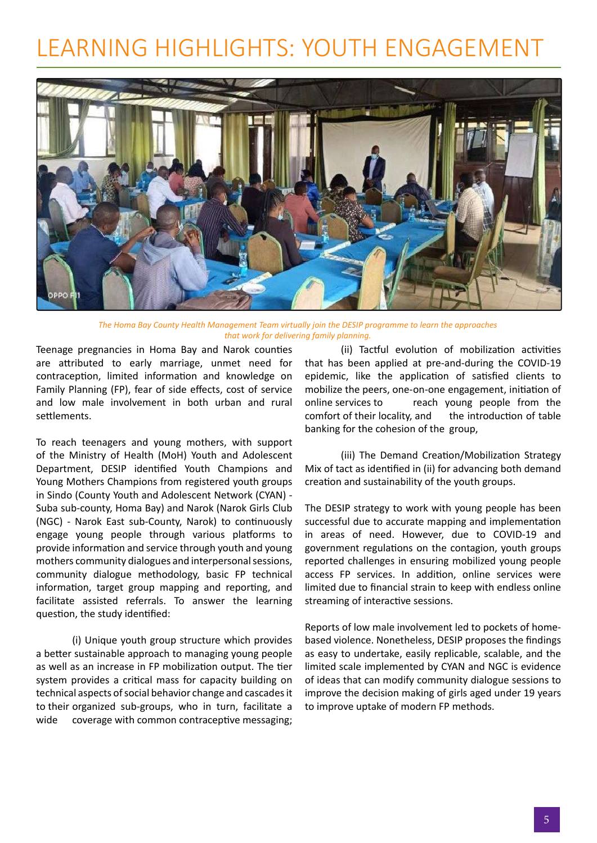# LEARNING HIGHLIGHTS: YOUTH ENGAGEMENT

![](_page_4_Picture_1.jpeg)

*The Homa Bay County Health Management Team virtually join the DESIP programme to learn the approaches that work for delivering family planning.*

Teenage pregnancies in Homa Bay and Narok counties are attributed to early marriage, unmet need for contraception, limited information and knowledge on Family Planning (FP), fear of side effects, cost of service and low male involvement in both urban and rural settlements.

To reach teenagers and young mothers, with support of the Ministry of Health (MoH) Youth and Adolescent Department, DESIP identified Youth Champions and Young Mothers Champions from registered youth groups in Sindo (County Youth and Adolescent Network (CYAN) - Suba sub-county, Homa Bay) and Narok (Narok Girls Club (NGC) - Narok East sub-County, Narok) to continuously engage young people through various platforms to provide information and service through youth and young mothers community dialogues and interpersonal sessions, community dialogue methodology, basic FP technical information, target group mapping and reporting, and facilitate assisted referrals. To answer the learning question, the study identified:

(i) Unique youth group structure which provides a better sustainable approach to managing young people as well as an increase in FP mobilization output. The tier system provides a critical mass for capacity building on technical aspects of social behavior change and cascades it to their organized sub-groups, who in turn, facilitate a wide coverage with common contraceptive messaging;

(ii) Tactful evolution of mobilization activities that has been applied at pre-and-during the COVID-19 epidemic, like the application of satisfied clients to mobilize the peers, one-on-one engagement, initiation of online services to reach young people from the comfort of their locality, and the introduction of table banking for the cohesion of the group,

(iii) The Demand Creation/Mobilization Strategy Mix of tact as identified in (ii) for advancing both demand creation and sustainability of the youth groups.

The DESIP strategy to work with young people has been successful due to accurate mapping and implementation in areas of need. However, due to COVID-19 and government regulations on the contagion, youth groups reported challenges in ensuring mobilized young people access FP services. In addition, online services were limited due to financial strain to keep with endless online streaming of interactive sessions.

Reports of low male involvement led to pockets of homebased violence. Nonetheless, DESIP proposes the findings as easy to undertake, easily replicable, scalable, and the limited scale implemented by CYAN and NGC is evidence of ideas that can modify community dialogue sessions to improve the decision making of girls aged under 19 years to improve uptake of modern FP methods.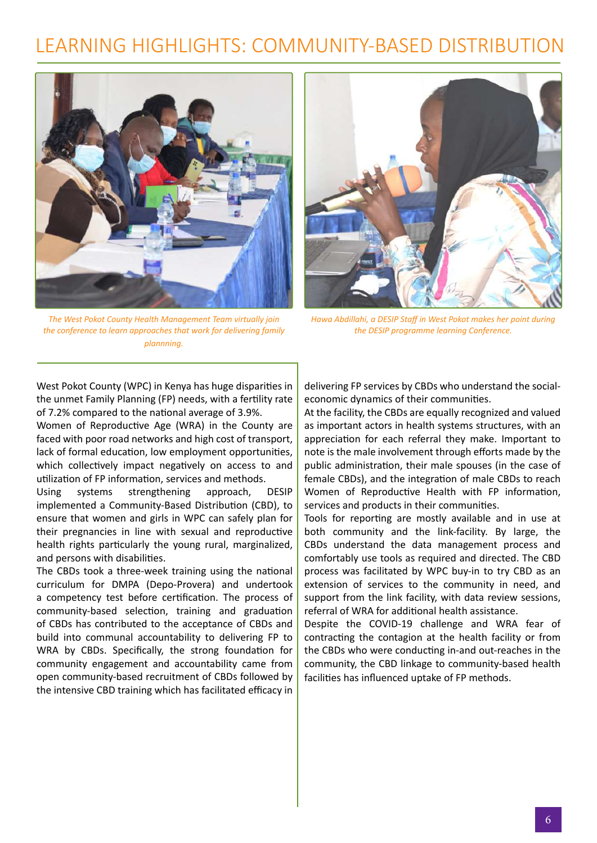## LEARNING HIGHLIGHTS: COMMUNITY-BASED DISTRIBUTION

![](_page_5_Picture_1.jpeg)

*The West Pokot County Health Management Team virtually join the conference to learn approaches that work for delivering family plannning.*

![](_page_5_Picture_3.jpeg)

*Hawa Abdillahi, a DESIP Staff in West Pokot makes her point during the DESIP programme learning Conference.*

West Pokot County (WPC) in Kenya has huge disparities in the unmet Family Planning (FP) needs, with a fertility rate of 7.2% compared to the national average of 3.9%.

Women of Reproductive Age (WRA) in the County are faced with poor road networks and high cost of transport, lack of formal education, low employment opportunities, which collectively impact negatively on access to and utilization of FP information, services and methods.

Using systems strengthening approach, DESIP implemented a Community-Based Distribution (CBD), to ensure that women and girls in WPC can safely plan for their pregnancies in line with sexual and reproductive health rights particularly the young rural, marginalized, and persons with disabilities.

The CBDs took a three-week training using the national curriculum for DMPA (Depo-Provera) and undertook a competency test before certification. The process of community-based selection, training and graduation of CBDs has contributed to the acceptance of CBDs and build into communal accountability to delivering FP to WRA by CBDs. Specifically, the strong foundation for community engagement and accountability came from open community-based recruitment of CBDs followed by the intensive CBD training which has facilitated efficacy in

delivering FP services by CBDs who understand the socialeconomic dynamics of their communities.

At the facility, the CBDs are equally recognized and valued as important actors in health systems structures, with an appreciation for each referral they make. Important to note is the male involvement through efforts made by the public administration, their male spouses (in the case of female CBDs), and the integration of male CBDs to reach Women of Reproductive Health with FP information, services and products in their communities.

Tools for reporting are mostly available and in use at both community and the link-facility. By large, the CBDs understand the data management process and comfortably use tools as required and directed. The CBD process was facilitated by WPC buy-in to try CBD as an extension of services to the community in need, and support from the link facility, with data review sessions, referral of WRA for additional health assistance.

Despite the COVID-19 challenge and WRA fear of contracting the contagion at the health facility or from the CBDs who were conducting in-and out-reaches in the community, the CBD linkage to community-based health facilities has influenced uptake of FP methods.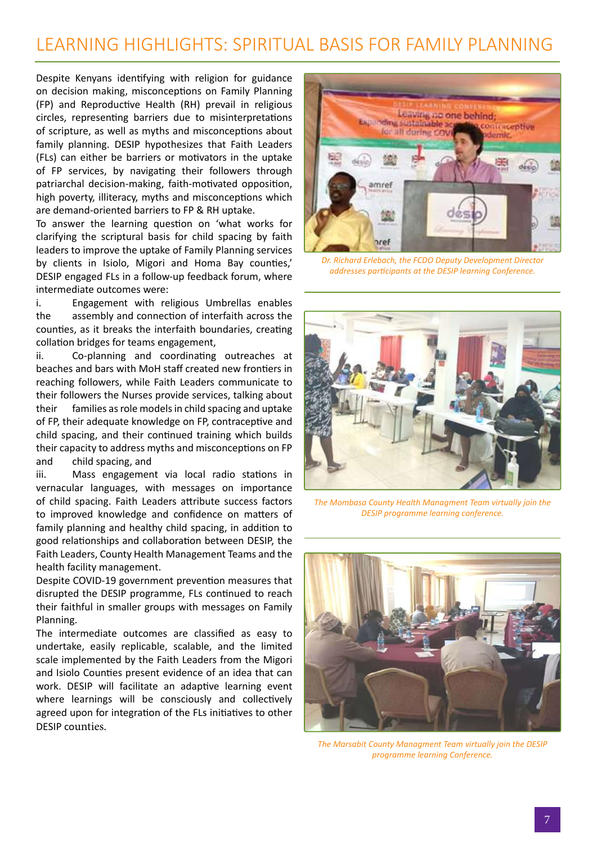### LEARNING HIGHLIGHTS: SPIRITUAL BASIS FOR FAMILY PLANNING

Despite Kenyans identifying with religion for guidance on decision making, misconceptions on Family Planning (FP) and Reproductive Health (RH) prevail in religious circles, representing barriers due to misinterpretations of scripture, as well as myths and misconceptions about family planning. DESIP hypothesizes that Faith Leaders (FLs) can either be barriers or motivators in the uptake of FP services, by navigating their followers through patriarchal decision-making, faith-motivated opposition, high poverty, illiteracy, myths and misconceptions which are demand-oriented barriers to FP & RH uptake.

To answer the learning question on 'what works for clarifying the scriptural basis for child spacing by faith leaders to improve the uptake of Family Planning services by clients in Isiolo, Migori and Homa Bay counties,' DESIP engaged FLs in a follow-up feedback forum, where intermediate outcomes were:

i. Engagement with religious Umbrellas enables the assembly and connection of interfaith across the counties, as it breaks the interfaith boundaries, creating collation bridges for teams engagement,

ii. Co-planning and coordinating outreaches at beaches and bars with MoH staff created new frontiers in reaching followers, while Faith Leaders communicate to their followers the Nurses provide services, talking about their families as role models in child spacing and uptake of FP, their adequate knowledge on FP, contraceptive and child spacing, and their continued training which builds their capacity to address myths and misconceptions on FP and child spacing, and

iii. Mass engagement via local radio stations in vernacular languages, with messages on importance of child spacing. Faith Leaders attribute success factors to improved knowledge and confidence on matters of family planning and healthy child spacing, in addition to good relationships and collaboration between DESIP, the Faith Leaders, County Health Management Teams and the health facility management.

Despite COVID-19 government prevention measures that disrupted the DESIP programme, FLs continued to reach their faithful in smaller groups with messages on Family Planning.

The intermediate outcomes are classified as easy to undertake, easily replicable, scalable, and the limited scale implemented by the Faith Leaders from the Migori and Isiolo Counties present evidence of an idea that can work. DESIP will facilitate an adaptive learning event where learnings will be consciously and collectively agreed upon for integration of the FLs initiatives to other DESIP counties.

![](_page_6_Picture_8.jpeg)

*Dr. Richard Erlebach, the FCDO Deputy Development Director addresses participants at the DESIP learning Conference.*

![](_page_6_Picture_10.jpeg)

*The Mombasa County Health Managment Team virtually join the DESIP programme learning conference.*

![](_page_6_Picture_12.jpeg)

*The Marsabit County Managment Team virtually join the DESIP programme learning Conference.*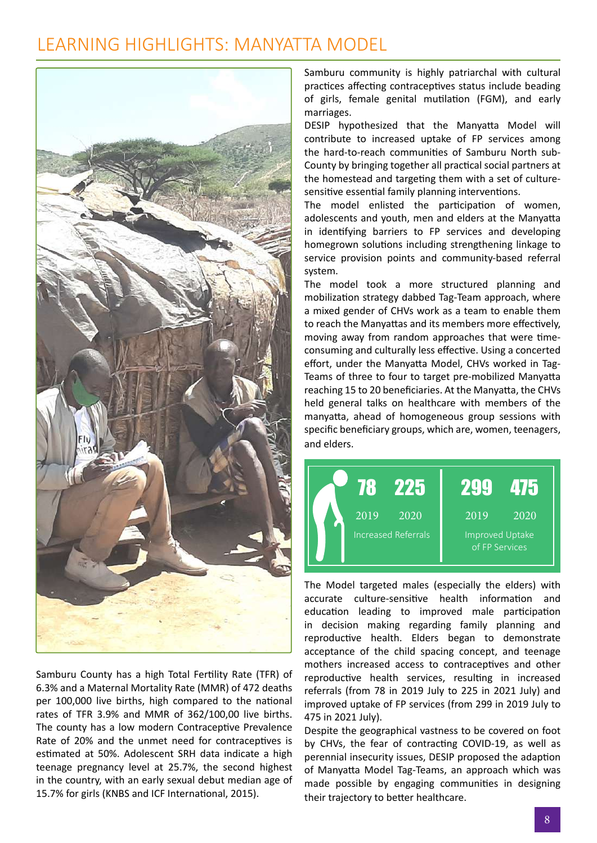#### LEARNING HIGHLIGHTS: MANYATTA MODEL

![](_page_7_Picture_1.jpeg)

Samburu County has a high Total Fertility Rate (TFR) of 6.3% and a Maternal Mortality Rate (MMR) of 472 deaths per 100,000 live births, high compared to the national rates of TFR 3.9% and MMR of 362/100,00 live births. The county has a low modern Contraceptive Prevalence Rate of 20% and the unmet need for contraceptives is estimated at 50%. Adolescent SRH data indicate a high teenage pregnancy level at 25.7%, the second highest in the country, with an early sexual debut median age of 15.7% for girls (KNBS and ICF International, 2015).

Samburu community is highly patriarchal with cultural practices affecting contraceptives status include beading of girls, female genital mutilation (FGM), and early marriages.

DESIP hypothesized that the Manyatta Model will contribute to increased uptake of FP services among the hard-to-reach communities of Samburu North sub-County by bringing together all practical social partners at the homestead and targeting them with a set of culturesensitive essential family planning interventions.

The model enlisted the participation of women, adolescents and youth, men and elders at the Manyatta in identifying barriers to FP services and developing homegrown solutions including strengthening linkage to service provision points and community-based referral system.

The model took a more structured planning and mobilization strategy dabbed Tag-Team approach, where a mixed gender of CHVs work as a team to enable them to reach the Manyattas and its members more effectively, moving away from random approaches that were timeconsuming and culturally less effective. Using a concerted effort, under the Manyatta Model, CHVs worked in Tag-Teams of three to four to target pre-mobilized Manyatta reaching 15 to 20 beneficiaries. At the Manyatta, the CHVs held general talks on healthcare with members of the manyatta, ahead of homogeneous group sessions with specific beneficiary groups, which are, women, teenagers, and elders.

![](_page_7_Figure_7.jpeg)

The Model targeted males (especially the elders) with accurate culture-sensitive health information and education leading to improved male participation in decision making regarding family planning and reproductive health. Elders began to demonstrate acceptance of the child spacing concept, and teenage mothers increased access to contraceptives and other reproductive health services, resulting in increased referrals (from 78 in 2019 July to 225 in 2021 July) and improved uptake of FP services (from 299 in 2019 July to 475 in 2021 July).

Despite the geographical vastness to be covered on foot by CHVs, the fear of contracting COVID-19, as well as perennial insecurity issues, DESIP proposed the adaption of Manyatta Model Tag-Teams, an approach which was made possible by engaging communities in designing their trajectory to better healthcare.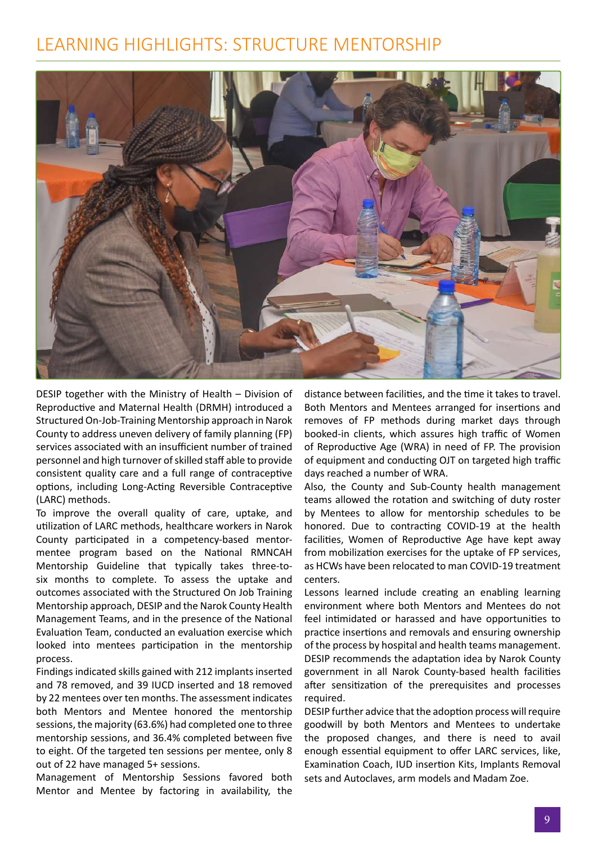#### LEARNING HIGHLIGHTS: STRUCTURE MENTORSHIP

![](_page_8_Picture_1.jpeg)

DESIP together with the Ministry of Health – Division of Reproductive and Maternal Health (DRMH) introduced a Structured On-Job-Training Mentorship approach in Narok County to address uneven delivery of family planning (FP) services associated with an insufficient number of trained personnel and high turnover of skilled staff able to provide consistent quality care and a full range of contraceptive options, including Long-Acting Reversible Contraceptive (LARC) methods.

To improve the overall quality of care, uptake, and utilization of LARC methods, healthcare workers in Narok County participated in a competency-based mentormentee program based on the National RMNCAH Mentorship Guideline that typically takes three-tosix months to complete. To assess the uptake and outcomes associated with the Structured On Job Training Mentorship approach, DESIP and the Narok County Health Management Teams, and in the presence of the National Evaluation Team, conducted an evaluation exercise which looked into mentees participation in the mentorship process.

Findings indicated skills gained with 212 implants inserted and 78 removed, and 39 IUCD inserted and 18 removed by 22 mentees over ten months. The assessment indicates both Mentors and Mentee honored the mentorship sessions, the majority (63.6%) had completed one to three mentorship sessions, and 36.4% completed between five to eight. Of the targeted ten sessions per mentee, only 8 out of 22 have managed 5+ sessions.

Management of Mentorship Sessions favored both Mentor and Mentee by factoring in availability, the

distance between facilities, and the time it takes to travel. Both Mentors and Mentees arranged for insertions and removes of FP methods during market days through booked-in clients, which assures high traffic of Women of Reproductive Age (WRA) in need of FP. The provision of equipment and conducting OJT on targeted high traffic days reached a number of WRA.

Also, the County and Sub-County health management teams allowed the rotation and switching of duty roster by Mentees to allow for mentorship schedules to be honored. Due to contracting COVID-19 at the health facilities, Women of Reproductive Age have kept away from mobilization exercises for the uptake of FP services, as HCWs have been relocated to man COVID-19 treatment centers.

Lessons learned include creating an enabling learning environment where both Mentors and Mentees do not feel intimidated or harassed and have opportunities to practice insertions and removals and ensuring ownership of the process by hospital and health teams management. DESIP recommends the adaptation idea by Narok County government in all Narok County-based health facilities after sensitization of the prerequisites and processes required.

DESIP further advice that the adoption process will require goodwill by both Mentors and Mentees to undertake the proposed changes, and there is need to avail enough essential equipment to offer LARC services, like, Examination Coach, IUD insertion Kits, Implants Removal sets and Autoclaves, arm models and Madam Zoe.